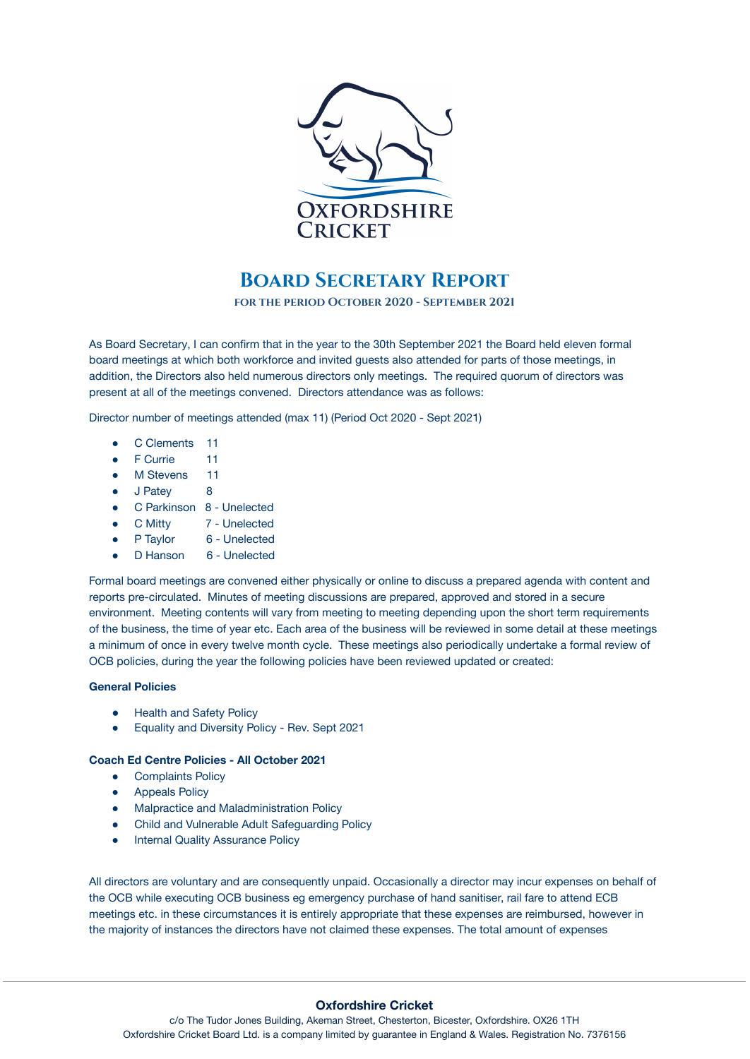

## **Board Secretary Report**

**for the period October 2020 - September 2021**

As Board Secretary, I can confirm that in the year to the 30th September 2021 the Board held eleven formal board meetings at which both workforce and invited guests also attended for parts of those meetings, in addition, the Directors also held numerous directors only meetings. The required quorum of directors was present at all of the meetings convened. Directors attendance was as follows:

Director number of meetings attended (max 11) (Period Oct 2020 - Sept 2021)

- C Clements 11
- F Currie 11
- M Stevens 11
- J Patey 8
- C Parkinson 8 Unelected
- C Mitty 7 Unelected
- P Taylor 6 Unelected
- D Hanson 6 Unelected

Formal board meetings are convened either physically or online to discuss a prepared agenda with content and reports pre-circulated. Minutes of meeting discussions are prepared, approved and stored in a secure environment. Meeting contents will vary from meeting to meeting depending upon the short term requirements of the business, the time of year etc. Each area of the business will be reviewed in some detail at these meetings a minimum of once in every twelve month cycle. These meetings also periodically undertake a formal review of OCB policies, during the year the following policies have been reviewed updated or created:

## **General Policies**

- **•** Health and Safety Policy
- Equality and Diversity Policy Rev. Sept 2021

## **Coach Ed Centre Policies - All October 2021**

- Complaints Policy
- Appeals Policy
- Malpractice and Maladministration Policy
- Child and Vulnerable Adult Safeguarding Policy
- Internal Quality Assurance Policy

All directors are voluntary and are consequently unpaid. Occasionally a director may incur expenses on behalf of the OCB while executing OCB business eg emergency purchase of hand sanitiser, rail fare to attend ECB meetings etc. in these circumstances it is entirely appropriate that these expenses are reimbursed, however in the majority of instances the directors have not claimed these expenses. The total amount of expenses

## **Oxfordshire Cricket**